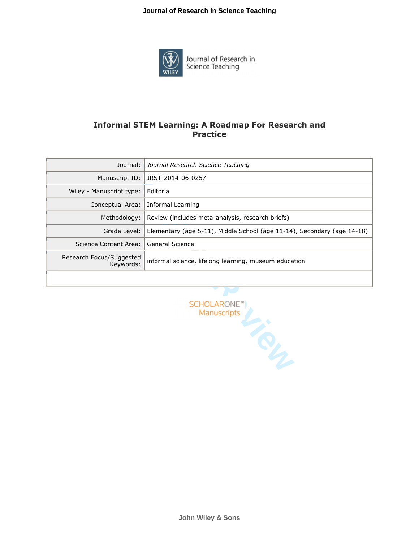## **Journal of Research in Science Teaching**



Journal of Research in<br>Science Teaching

## **Informal STEM Learning: A Roadmap For Research and Practice**

| Journal:                              | Journal Research Science Teaching                                       |
|---------------------------------------|-------------------------------------------------------------------------|
| Manuscript ID:                        | JRST-2014-06-0257                                                       |
| Wiley - Manuscript type:              | Editorial                                                               |
| Conceptual Area:                      | Informal Learning                                                       |
| Methodology:                          | Review (includes meta-analysis, research briefs)                        |
| Grade Level:                          | Elementary (age 5-11), Middle School (age 11-14), Secondary (age 14-18) |
| Science Content Area:                 | General Science                                                         |
| Research Focus/Suggested<br>Kevwords: | informal science, lifelong learning, museum education                   |
|                                       |                                                                         |



**John Wiley & Sons**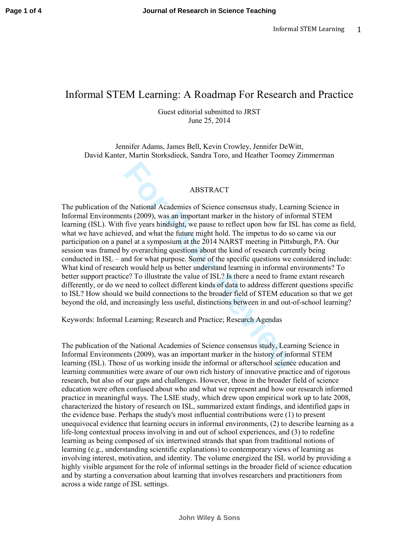## Informal STEM Learning: A Roadmap For Research and Practice

Guest editorial submitted to JRST June 25, 2014

Jennifer Adams, James Bell, Kevin Crowley, Jennifer DeWitt, David Kanter, Martin Storksdieck, Sandra Toro, and Heather Toomey Zimmerman

## ABSTRACT

**For All Altertian State Alternative State Alternative** of Science consensus study, Learnts (2009), was an important marker in the history of inf<br>five years hindsight, we pause to reflect upon how far IS<br>ed, and what the f The publication of the National Academies of Science consensus study, Learning Science in Informal Environments (2009), was an important marker in the history of informal STEM learning (ISL). With five years hindsight, we pause to reflect upon how far ISL has come as field, what we have achieved, and what the future might hold. The impetus to do so came via our participation on a panel at a symposium at the 2014 NARST meeting in Pittsburgh, PA. Our session was framed by overarching questions about the kind of research currently being conducted in ISL – and for what purpose. Some of the specific questions we considered include: What kind of research would help us better understand learning in informal environments? To better support practice? To illustrate the value of ISL? Is there a need to frame extant research differently, or do we need to collect different kinds of data to address different questions specific to ISL? How should we build connections to the broader field of STEM education so that we get beyond the old, and increasingly less useful, distinctions between in and out-of-school learning?

Keywords: Informal Learning; Research and Practice; Research Agendas

The publication of the National Academies of Science consensus study, Learning Science in Informal Environments (2009), was an important marker in the history of informal STEM learning (ISL). Those of us working inside the informal or afterschool science education and learning communities were aware of our own rich history of innovative practice and of rigorous research, but also of our gaps and challenges. However, those in the broader field of science education were often confused about who and what we represent and how our research informed practice in meaningful ways. The LSIE study, which drew upon empirical work up to late 2008, characterized the history of research on ISL, summarized extant findings, and identified gaps in the evidence base. Perhaps the study's most influential contributions were (1) to present unequivocal evidence that learning occurs in informal environments, (2) to describe learning as a life-long contextual process involving in and out of school experiences, and (3) to redefine learning as being composed of six intertwined strands that span from traditional notions of learning (e.g., understanding scientific explanations) to contemporary views of learning as involving interest, motivation, and identity. The volume energized the ISL world by providing a highly visible argument for the role of informal settings in the broader field of science education and by starting a conversation about learning that involves researchers and practitioners from across a wide range of ISL settings.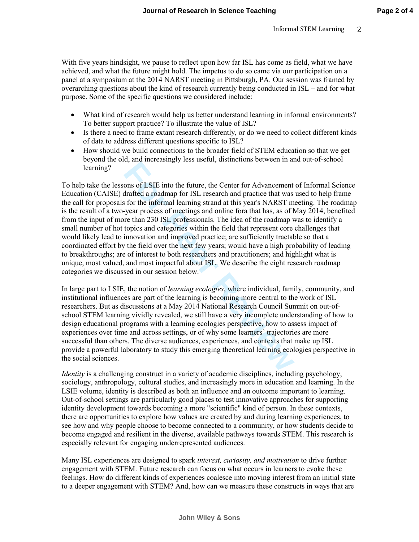With five years hindsight, we pause to reflect upon how far ISL has come as field, what we have achieved, and what the future might hold. The impetus to do so came via our participation on a panel at a symposium at the 2014 NARST meeting in Pittsburgh, PA. Our session was framed by overarching questions about the kind of research currently being conducted in ISL – and for what purpose. Some of the specific questions we considered include:

- What kind of research would help us better understand learning in informal environments? To better support practice? To illustrate the value of ISL?
- Is there a need to frame extant research differently, or do we need to collect different kinds of data to address different questions specific to ISL?
- How should we build connections to the broader field of STEM education so that we get beyond the old, and increasingly less useful, distinctions between in and out-of-school learning?

extramely and methods and only the search of the context of and the search and the search and practice that was for the informal learning strand at this year's NARST m-year process of meetings and online for a that has, as To help take the lessons of LSIE into the future, the Center for Advancement of Informal Science Education (CAISE) drafted a roadmap for ISL research and practice that was used to help frame the call for proposals for the informal learning strand at this year's NARST meeting. The roadmap is the result of a two-year process of meetings and online fora that has, as of May 2014, benefited from the input of more than 230 ISL professionals. The idea of the roadmap was to identify a small number of hot topics and categories within the field that represent core challenges that would likely lead to innovation and improved practice; are sufficiently tractable so that a coordinated effort by the field over the next few years; would have a high probability of leading to breakthroughs; are of interest to both researchers and practitioners; and highlight what is unique, most valued, and most impactful about ISL. We describe the eight research roadmap categories we discussed in our session below.

In large part to LSIE, the notion of *learning ecologies*, where individual, family, community, and institutional influences are part of the learning is becoming more central to the work of ISL researchers. But as discussions at a May 2014 National Research Council Summit on out-ofschool STEM learning vividly revealed, we still have a very incomplete understanding of how to design educational programs with a learning ecologies perspective, how to assess impact of experiences over time and across settings, or of why some learners' trajectories are more successful than others. The diverse audiences, experiences, and contexts that make up ISL provide a powerful laboratory to study this emerging theoretical learning ecologies perspective in the social sciences.

*Identity* is a challenging construct in a variety of academic disciplines, including psychology, sociology, anthropology, cultural studies, and increasingly more in education and learning. In the LSIE volume, identity is described as both an influence and an outcome important to learning. Out-of-school settings are particularly good places to test innovative approaches for supporting identity development towards becoming a more "scientific" kind of person. In these contexts, there are opportunities to explore how values are created by and during learning experiences, to see how and why people choose to become connected to a community, or how students decide to become engaged and resilient in the diverse, available pathways towards STEM. This research is especially relevant for engaging underrepresented audiences.

Many ISL experiences are designed to spark *interest, curiosity, and motivation* to drive further engagement with STEM. Future research can focus on what occurs in learners to evoke these feelings. How do different kinds of experiences coalesce into moving interest from an initial state to a deeper engagement with STEM? And, how can we measure these constructs in ways that are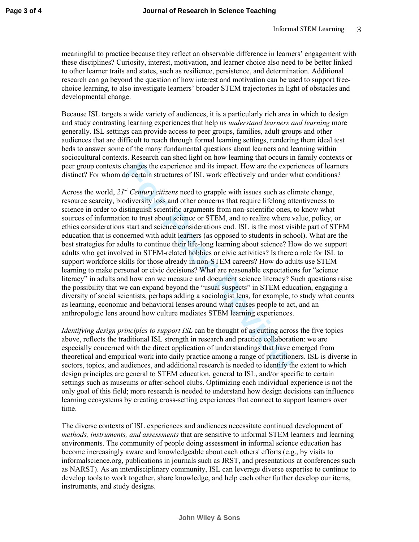meaningful to practice because they reflect an observable difference in learners' engagement with these disciplines? Curiosity, interest, motivation, and learner choice also need to be better linked to other learner traits and states, such as resilience, persistence, and determination. Additional research can go beyond the question of how interest and motivation can be used to support freechoice learning, to also investigate learners' broader STEM trajectories in light of obstacles and developmental change.

Because ISL targets a wide variety of audiences, it is a particularly rich area in which to design and study contrasting learning experiences that help us *understand learners and learning* more generally. ISL settings can provide access to peer groups, families, adult groups and other audiences that are difficult to reach through formal learning settings, rendering them ideal test beds to answer some of the many fundamental questions about learners and learning within sociocultural contexts. Research can shed light on how learning that occurs in family contexts or peer group contexts changes the experience and its impact. How are the experiences of learners distinct? For whom do certain structures of ISL work effectively and under what conditions?

changes the experience and its impact. How are the experience and its impact. How are the experience of ISL work effectively and under w<sup>*st</sup> Century citizens* need to grapple with issues such as clies of biveristy loss </sup> Across the world, *21st Century citizens* need to grapple with issues such as climate change, resource scarcity, biodiversity loss and other concerns that require lifelong attentiveness to science in order to distinguish scientific arguments from non-scientific ones, to know what sources of information to trust about science or STEM, and to realize where value, policy, or ethics considerations start and science considerations end. ISL is the most visible part of STEM education that is concerned with adult learners (as opposed to students in school). What are the best strategies for adults to continue their life-long learning about science? How do we support adults who get involved in STEM-related hobbies or civic activities? Is there a role for ISL to support workforce skills for those already in non-STEM careers? How do adults use STEM learning to make personal or civic decisions? What are reasonable expectations for "science literacy" in adults and how can we measure and document science literacy? Such questions raise the possibility that we can expand beyond the "usual suspects" in STEM education, engaging a diversity of social scientists, perhaps adding a sociologist lens, for example, to study what counts as learning, economic and behavioral lenses around what causes people to act, and an anthropologic lens around how culture mediates STEM learning experiences.

*Identifying design principles to support ISL* can be thought of as cutting across the five topics above, reflects the traditional ISL strength in research and practice collaboration: we are especially concerned with the direct application of understandings that have emerged from theoretical and empirical work into daily practice among a range of practitioners. ISL is diverse in sectors, topics, and audiences, and additional research is needed to identify the extent to which design principles are general to STEM education, general to ISL, and/or specific to certain settings such as museums or after-school clubs. Optimizing each individual experience is not the only goal of this field; more research is needed to understand how design decisions can influence learning ecosystems by creating cross-setting experiences that connect to support learners over time.

The diverse contexts of ISL experiences and audiences necessitate continued development of *methods, instruments, and assessments* that are sensitive to informal STEM learners and learning environments. The community of people doing assessment in informal science education has become increasingly aware and knowledgeable about each others' efforts (e.g., by visits to informalscience.org, publications in journals such as JRST, and presentations at conferences such as NARST). As an interdisciplinary community, ISL can leverage diverse expertise to continue to develop tools to work together, share knowledge, and help each other further develop our items, instruments, and study designs.